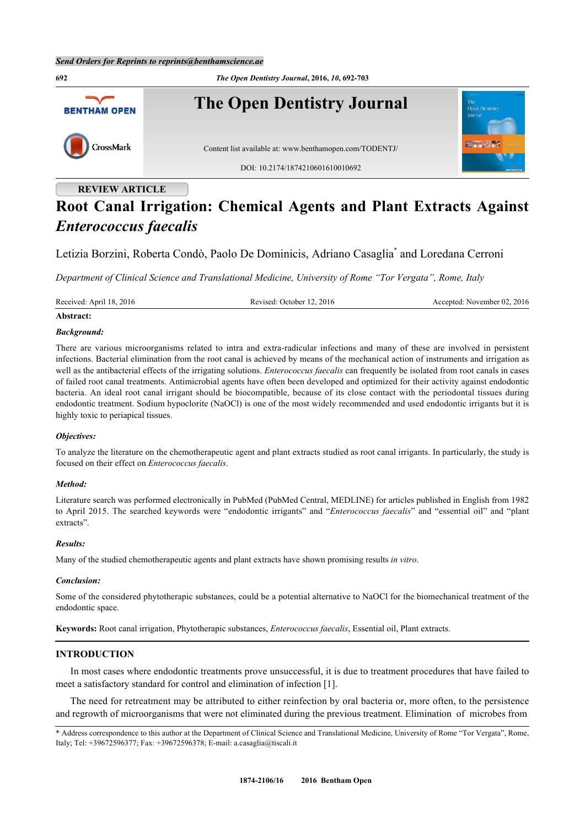

# **REVIEW ARTICLE**

# **Root Canal Irrigation: Chemical Agents and Plant Extracts Against** *Enterococcus faecalis*

Letizia Borzini, Roberta Condò, Paolo De Dominicis, Adriano Casaglia[\\*](#page-0-0) and Loredana Cerroni

*Department of Clinical Science and Translational Medicine, University of Rome "Tor Vergata", Rome, Italy*

Received: April 18, 2016 Revised: October 12, 2016 Accepted: November 02, 2016

# **Abstract:**

### *Background:*

There are various microorganisms related to intra and extra-radicular infections and many of these are involved in persistent infections. Bacterial elimination from the root canal is achieved by means of the mechanical action of instruments and irrigation as well as the antibacterial effects of the irrigating solutions. *Enterococcus faecalis* can frequently be isolated from root canals in cases of failed root canal treatments. Antimicrobial agents have often been developed and optimized for their activity against endodontic bacteria. An ideal root canal irrigant should be biocompatible, because of its close contact with the periodontal tissues during endodontic treatment. Sodium hypoclorite (NaOCl) is one of the most widely recommended and used endodontic irrigants but it is highly toxic to periapical tissues.

### *Objectives:*

To analyze the literature on the chemotherapeutic agent and plant extracts studied as root canal irrigants. In particularly, the study is focused on their effect on *Enterococcus faecalis*.

### *Method:*

Literature search was performed electronically in PubMed (PubMed Central, MEDLINE) for articles published in English from 1982 to April 2015. The searched keywords were "endodontic irrigants" and "*Enterococcus faecalis*" and "essential oil" and "plant extracts".

### *Results:*

Many of the studied chemotherapeutic agents and plant extracts have shown promising results *in vitro*.

### *Conclusion:*

Some of the considered phytotherapic substances, could be a potential alternative to NaOCl for the biomechanical treatment of the endodontic space.

**Keywords:** Root canal irrigation, Phytotherapic substances, *Enterococcus faecalis*, Essential oil, Plant extracts.

### **INTRODUCTION**

In most cases where endodontic treatments prove unsuccessful, it is due to treatment procedures that have failed to meet a satisfactory standard for control and elimination of infection [[1\]](#page-6-0).

The need for retreatment may be attributed to either reinfection by oral bacteria or, more often, to the persistence and regrowth of microorganisms that were not eliminated during the previous treatment. Elimination of microbes from

<span id="page-0-0"></span><sup>\*</sup> Address correspondence to this author at the Department of Clinical Science and Translational Medicine, University of Rome "Tor Vergata", Rome, Italy; Tel: +39672596377; Fax: +39672596378; E-mail: [a.casaglia@tiscali.it](mailto:a.casaglia@tiscali.it)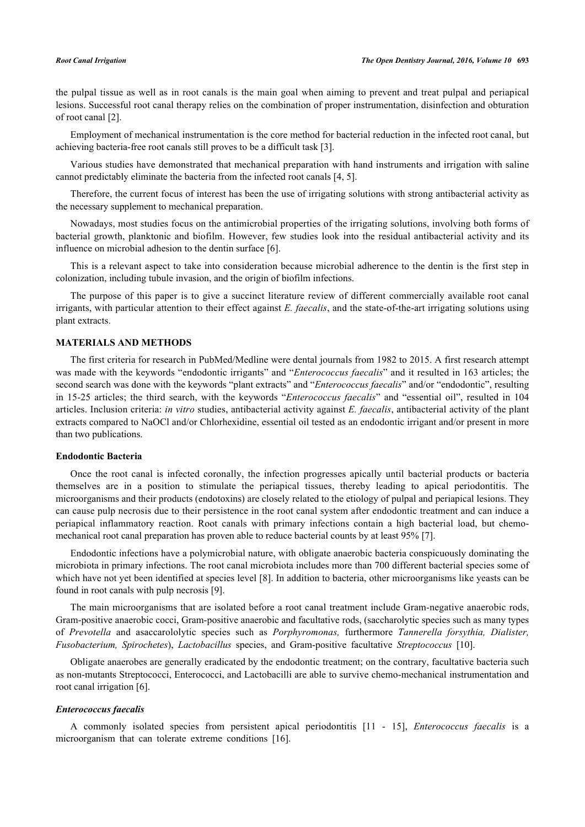the pulpal tissue as well as in root canals is the main goal when aiming to prevent and treat pulpal and periapical lesions. Successful root canal therapy relies on the combination of proper instrumentation, disinfection and obturation of root canal [\[2](#page-6-1)].

Employment of mechanical instrumentation is the core method for bacterial reduction in the infected root canal, but achieving bacteria-free root canals still proves to be a difficult task [[3\]](#page-6-2).

Various studies have demonstrated that mechanical preparation with hand instruments and irrigation with saline cannot predictably eliminate the bacteria from the infected root canals [[4,](#page-6-3) [5\]](#page-6-4).

Therefore, the current focus of interest has been the use of irrigating solutions with strong antibacterial activity as the necessary supplement to mechanical preparation.

Nowadays, most studies focus on the antimicrobial properties of the irrigating solutions, involving both forms of bacterial growth, planktonic and biofilm. However, few studies look into the residual antibacterial activity and its influence on microbial adhesion to the dentin surface [[6\]](#page-7-0).

This is a relevant aspect to take into consideration because microbial adherence to the dentin is the first step in colonization, including tubule invasion, and the origin of biofilm infections.

The purpose of this paper is to give a succinct literature review of different commercially available root canal irrigants, with particular attention to their effect against *E. faecalis*, and the state-of-the-art irrigating solutions using plant extracts.

## **MATERIALS AND METHODS**

The first criteria for research in PubMed/Medline were dental journals from 1982 to 2015. A first research attempt was made with the keywords "endodontic irrigants" and "*Enterococcus faecalis*" and it resulted in 163 articles; the second search was done with the keywords "plant extracts" and "*Enterococcus faecalis*" and/or "endodontic", resulting in 15-25 articles; the third search, with the keywords "*Enterococcus faecalis*" and "essential oil", resulted in 104 articles. Inclusion criteria: *in vitro* studies, antibacterial activity against *E. faecalis*, antibacterial activity of the plant extracts compared to NaOCl and/or Chlorhexidine, essential oil tested as an endodontic irrigant and/or present in more than two publications.

#### **Endodontic Bacteria**

Once the root canal is infected coronally, the infection progresses apically until bacterial products or bacteria themselves are in a position to stimulate the periapical tissues, thereby leading to apical periodontitis. The microorganisms and their products (endotoxins) are closely related to the etiology of pulpal and periapical lesions. They can cause pulp necrosis due to their persistence in the root canal system after endodontic treatment and can induce a periapical inflammatory reaction. Root canals with primary infections contain a high bacterial load, but chemomechanical root canal preparation has proven able to reduce bacterial counts by at least 95% [\[7](#page-7-1)].

Endodontic infections have a polymicrobial nature, with obligate anaerobic bacteria conspicuously dominating the microbiota in primary infections. The root canal microbiota includes more than 700 different bacterial species some of which have not yet been identified at species level [\[8](#page-7-2)]. In addition to bacteria, other microorganisms like yeasts can be found in root canals with pulp necrosis [\[9](#page-7-3)].

The main microorganisms that are isolated before a root canal treatment include Gram-negative anaerobic rods, Gram-positive anaerobic cocci, Gram-positive anaerobic and facultative rods, (saccharolytic species such as many types of *Prevotella* and asaccarololytic species such as *Porphyromonas,* furthermore *Tannerella forsythia, Dialister, Fusobacterium, Spirochetes*), *Lactobacillus* species, and Gram-positive facultative *Streptococcus* [[10\]](#page-7-4).

Obligate anaerobes are generally eradicated by the endodontic treatment; on the contrary, facultative bacteria such as non-mutants Streptococci, Enterococci, and Lactobacilli are able to survive chemo-mechanical instrumentation and root canal irrigation [[6\]](#page-7-0).

#### *Enterococcus faecalis*

A commonly isolated species from persistent apical periodontitis[[11](#page-7-5) - [15\]](#page-7-6), *Enterococcus faecalis* is a microorganism that can tolerate extreme conditions [\[16](#page-7-7)].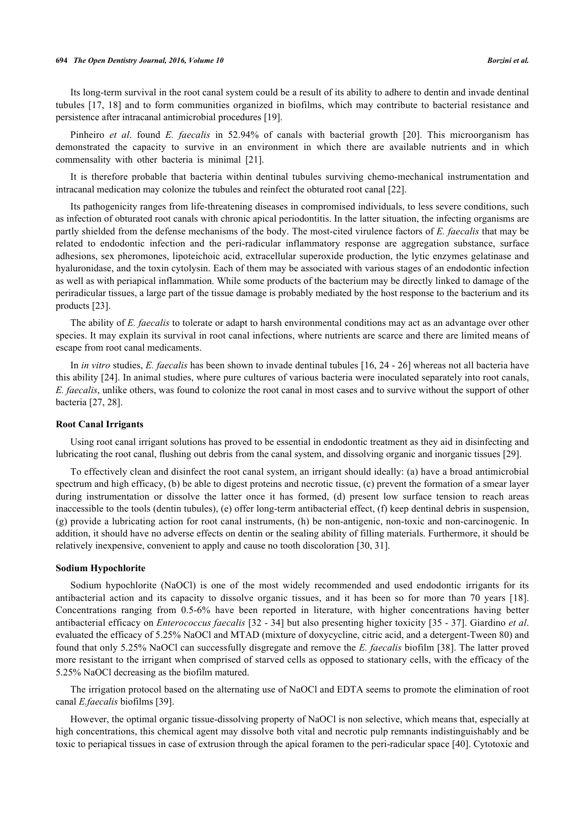#### **694** *The Open Dentistry Journal, 2016, Volume 10 Borzini et al.*

Its long-term survival in the root canal system could be a result of its ability to adhere to dentin and invade dentinal tubules [\[17,](#page-7-8) [18](#page-7-9)] and to form communities organized in biofilms, which may contribute to bacterial resistance and persistence after intracanal antimicrobial procedures [[19\]](#page-7-10).

Pinheiro *et al*. found *E. faecalis* in 52.94% of canals with bacterial growth[[20\]](#page-7-11). This microorganism has demonstrated the capacity to survive in an environment in which there are available nutrients and in which commensality with other bacteria is minimal [\[21](#page-7-12)].

It is therefore probable that bacteria within dentinal tubules surviving chemo-mechanical instrumentation and intracanal medication may colonize the tubules and reinfect the obturated root canal [\[22](#page-7-13)].

Its pathogenicity ranges from life-threatening diseases in compromised individuals, to less severe conditions, such as infection of obturated root canals with chronic apical periodontitis. In the latter situation, the infecting organisms are partly shielded from the defense mechanisms of the body. The most-cited virulence factors of *E. faecalis* that may be related to endodontic infection and the peri-radicular inflammatory response are aggregation substance, surface adhesions, sex pheromones, lipoteichoic acid, extracellular superoxide production, the lytic enzymes gelatinase and hyaluronidase, and the toxin cytolysin. Each of them may be associated with various stages of an endodontic infection as well as with periapical inflammation. While some products of the bacterium may be directly linked to damage of the periradicular tissues, a large part of the tissue damage is probably mediated by the host response to the bacterium and its products [[23\]](#page-7-14).

The ability of *E. faecalis* to tolerate or adapt to harsh environmental conditions may act as an advantage over other species. It may explain its survival in root canal infections, where nutrients are scarce and there are limited means of escape from root canal medicaments.

In *in vitro* studies, *E. faecalis* has been shown to invade dentinal tubules [[16,](#page-7-7) [24](#page-7-15) - [26\]](#page-7-16) whereas not all bacteria have this ability [\[24](#page-7-15)]. In animal studies, where pure cultures of various bacteria were inoculated separately into root canals, *E. faecalis*, unlike others, was found to colonize the root canal in most cases and to survive without the support of other bacteria [\[27](#page-7-17), [28](#page-8-0)].

#### **Root Canal Irrigants**

Using root canal irrigant solutions has proved to be essential in endodontic treatment as they aid in disinfecting and lubricating the root canal, flushing out debris from the canal system, and dissolving organic and inorganic tissues [\[29](#page-8-1)].

To effectively clean and disinfect the root canal system, an irrigant should ideally: (a) have a broad antimicrobial spectrum and high efficacy, (b) be able to digest proteins and necrotic tissue, (c) prevent the formation of a smear layer during instrumentation or dissolve the latter once it has formed, (d) present low surface tension to reach areas inaccessible to the tools (dentin tubules), (e) offer long-term antibacterial effect, (f) keep dentinal debris in suspension, (g) provide a lubricating action for root canal instruments, (h) be non-antigenic, non-toxic and non-carcinogenic. In addition, it should have no adverse effects on dentin or the sealing ability of filling materials. Furthermore, it should be relatively inexpensive, convenient to apply and cause no tooth discoloration [\[30](#page-8-2), [31](#page-8-3)].

#### **Sodium Hypochlorite**

Sodium hypochlorite (NaOCl) is one of the most widely recommended and used endodontic irrigants for its antibacterial action and its capacity to dissolve organic tissues, and it has been so for more than 70 years [\[18\]](#page-7-9). Concentrations ranging from 0.5-6% have been reported in literature, with higher concentrations having better antibacterial efficacy on *Enterococcus faecalis* [\[32](#page-8-4) - [34\]](#page-8-5) but also presenting higher toxicity [[35](#page-8-6) - [37\]](#page-8-7). Giardino *et al*. evaluated the efficacy of 5.25% NaOCl and MTAD (mixture of doxycycline, citric acid, and a detergent-Tween 80) and found that only 5.25% NaOCl can successfully disgregate and remove the *E. faecalis* biofilm [\[38\]](#page-8-8). The latter proved more resistant to the irrigant when comprised of starved cells as opposed to stationary cells, with the efficacy of the 5.25% NaOCl decreasing as the biofilm matured.

The irrigation protocol based on the alternating use of NaOCl and EDTA seems to promote the elimination of root canal *E.faecalis* biofilms [[39\]](#page-8-9).

However, the optimal organic tissue-dissolving property of NaOCl is non selective, which means that, especially at high concentrations, this chemical agent may dissolve both vital and necrotic pulp remnants indistinguishably and be toxic to periapical tissues in case of extrusion through the apical foramen to the peri-radicular space [[40\]](#page-8-10). Cytotoxic and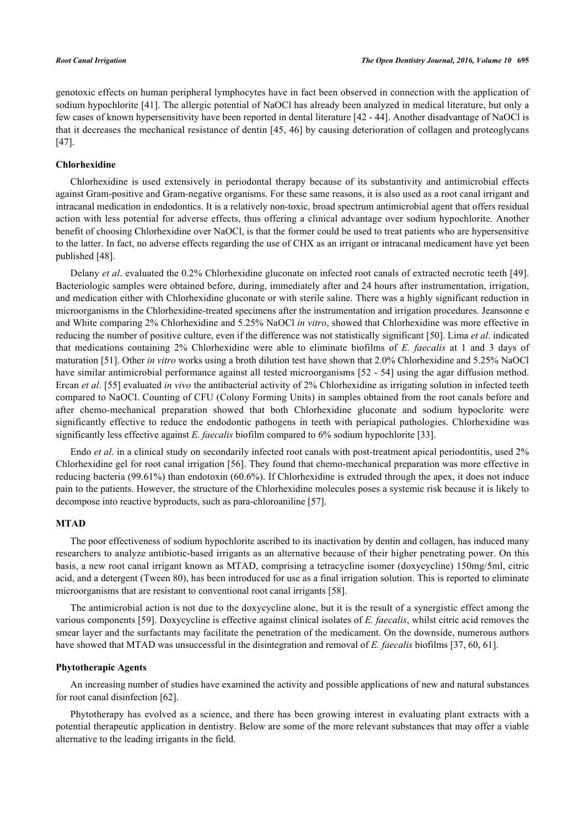genotoxic effects on human peripheral lymphocytes have in fact been observed in connection with the application of sodium hypochlorite [\[41](#page-8-11)]. The allergic potential of NaOCl has already been analyzed in medical literature, but only a few cases of known hypersensitivity have been reported in dental literature [\[42](#page-8-12) - [44\]](#page-8-13). Another disadvantage of NaOCl is that it decreases the mechanical resistance of dentin [[45,](#page-8-14) [46\]](#page-8-15) by causing deterioration of collagen and proteoglycans [\[47](#page-8-16)].

#### **Chlorhexidine**

Chlorhexidine is used extensively in periodontal therapy because of its substantivity and antimicrobial effects against Gram-positive and Gram-negative organisms. For these same reasons, it is also used as a root canal irrigant and intracanal medication in endodontics. It is a relatively non-toxic, broad spectrum antimicrobial agent that offers residual action with less potential for adverse effects, thus offering a clinical advantage over sodium hypochlorite. Another benefit of choosing Chlorhexidine over NaOCl, is that the former could be used to treat patients who are hypersensitive to the latter. In fact, no adverse effects regarding the use of CHX as an irrigant or intracanal medicament have yet been published [\[48](#page-8-17)].

Delany *et al*. evaluated the 0.2% Chlorhexidine gluconate on infected root canals of extracted necrotic teeth [\[49\]](#page-9-0). Bacteriologic samples were obtained before, during, immediately after and 24 hours after instrumentation, irrigation, and medication either with Chlorhexidine gluconate or with sterile saline. There was a highly significant reduction in microorganisms in the Chlorhexidine-treated specimens after the instrumentation and irrigation procedures. Jeansonne e and White comparing 2% Chlorhexidine and 5.25% NaOCl *in vitro*, showed that Chlorhexidine was more effective in reducing the number of positive culture, even if the difference was not statistically significant [\[50](#page-9-1)]. Lima *et al*. indicated that medications containing 2% Chlorhexidine were able to eliminate biofilms of *E. faecalis* at 1 and 3 days of maturation [[51](#page-9-2)]. Other *in vitro* works using a broth dilution test have shown that 2.0% Chlorhexidine and 5.25% NaOCl have similar antimicrobial performance against all tested microorganisms [[52](#page-9-3) - [54\]](#page-9-4) using the agar diffusion method. Ercan *et al*. [[55\]](#page-9-5) evaluated *in vivo* the antibacterial activity of 2% Chlorhexidine as irrigating solution in infected teeth compared to NaOCl. Counting of CFU (Colony Forming Units) in samples obtained from the root canals before and after chemo-mechanical preparation showed that both Chlorhexidine gluconate and sodium hypoclorite were significantly effective to reduce the endodontic pathogens in teeth with periapical pathologies. Chlorhexidine was significantly less effective against *E. faecalis* biofilm compared to 6% sodium hypochlorite [\[33](#page-8-18)].

Endo *et al*. in a clinical study on secondarily infected root canals with post-treatment apical periodontitis, used 2% Chlorhexidine gel for root canal irrigation [[56\]](#page-9-6). They found that chemo-mechanical preparation was more effective in reducing bacteria (99.61%) than endotoxin (60.6%). If Chlorhexidine is extruded through the apex, it does not induce pain to the patients. However, the structure of the Chlorhexidine molecules poses a systemic risk because it is likely to decompose into reactive byproducts, such as para-chloroaniline [[57\]](#page-9-7).

#### **MTAD**

The poor effectiveness of sodium hypochlorite ascribed to its inactivation by dentin and collagen, has induced many researchers to analyze antibiotic-based irrigants as an alternative because of their higher penetrating power. On this basis, a new root canal irrigant known as MTAD, comprising a tetracycline isomer (doxycycline) 150mg/5ml, citric acid, and a detergent (Tween 80), has been introduced for use as a final irrigation solution. This is reported to eliminate microorganisms that are resistant to conventional root canal irrigants [\[58](#page-9-8)].

The antimicrobial action is not due to the doxycycline alone, but it is the result of a synergistic effect among the various components [[59\]](#page-9-9). Doxycycline is effective against clinical isolates of *E. faecalis*, whilst citric acid removes the smear layer and the surfactants may facilitate the penetration of the medicament. On the downside, numerous authors have showed that MTAD was unsuccessful in the disintegration and removal of *E. faecalis* biofilms [[37,](#page-8-7) [60,](#page-9-10) [61\]](#page-9-11).

#### **Phytotherapic Agents**

An increasing number of studies have examined the activity and possible applications of new and natural substances for root canal disinfection [\[62](#page-9-12)].

Phytotherapy has evolved as a science, and there has been growing interest in evaluating plant extracts with a potential therapeutic application in dentistry. Below are some of the more relevant substances that may offer a viable alternative to the leading irrigants in the field.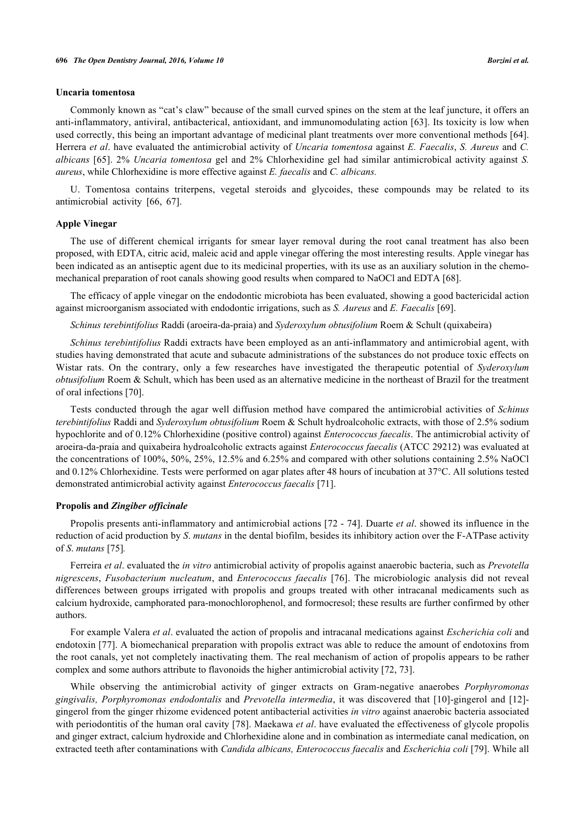### **Uncaria tomentosa**

Commonly known as "cat's claw" because of the small curved spines on the stem at the leaf juncture, it offers an anti-inflammatory, antiviral, antibacterical, antioxidant, and immunomodulating action [[63\]](#page-9-13). Its toxicity is low when used correctly, this being an important advantage of medicinal plant treatments over more conventional methods [[64\]](#page-9-14). Herrera *et al*. have evaluated the antimicrobial activity of *Uncaria tomentosa* against *E. Faecalis*, *S. Aureus* and *C. albicans* [[65\]](#page-9-15). 2% *Uncaria tomentosa* gel and 2% Chlorhexidine gel had similar antimicrobical activity against *S. aureus*, while Chlorhexidine is more effective against *E. faecalis* and *C. albicans.*

U. Tomentosa contains triterpens, vegetal steroids and glycoides, these compounds may be related to its antimicrobial activity [\[66](#page-9-16), [67](#page-9-17)].

#### **Apple Vinegar**

The use of different chemical irrigants for smear layer removal during the root canal treatment has also been proposed, with EDTA, citric acid, maleic acid and apple vinegar offering the most interesting results. Apple vinegar has been indicated as an antiseptic agent due to its medicinal properties, with its use as an auxiliary solution in the chemomechanical preparation of root canals showing good results when compared to NaOCl and EDTA [[68\]](#page-9-18).

The efficacy of apple vinegar on the endodontic microbiota has been evaluated, showing a good bactericidal action against microorganism associated with endodontic irrigations, such as *S. Aureus* and *E. Faecalis* [\[69](#page-10-0)].

*Schinus terebintifolius* Raddi (aroeira-da-praia) and *Syderoxylum obtusifolium* Roem & Schult (quixabeira)

*Schinus terebintifolius* Raddi extracts have been employed as an anti-inflammatory and antimicrobial agent, with studies having demonstrated that acute and subacute administrations of the substances do not produce toxic effects on Wistar rats. On the contrary, only a few researches have investigated the therapeutic potential of *Syderoxylum obtusifolium* Roem & Schult, which has been used as an alternative medicine in the northeast of Brazil for the treatment of oral infections [[70\]](#page-10-1).

Tests conducted through the agar well diffusion method have compared the antimicrobial activities of *Schinus terebintifolius* Raddi and *Syderoxylum obtusifolium* Roem & Schult hydroalcoholic extracts, with those of 2.5% sodium hypochlorite and of 0.12% Chlorhexidine (positive control) against *Enterococcus faecalis*. The antimicrobial activity of aroeira-da-praia and quixabeira hydroalcoholic extracts against *Enterococcus faecalis* (ATCC 29212) was evaluated at the concentrations of 100%, 50%, 25%, 12.5% and 6.25% and compared with other solutions containing 2.5% NaOCl and 0.12% Chlorhexidine. Tests were performed on agar plates after 48 hours of incubation at 37°C. All solutions tested demonstrated antimicrobial activity against *Enterococcus faecalis* [\[71](#page-10-2)].

#### **Propolis and** *Zingiber officinale*

Propolis presents anti-inflammatory and antimicrobial actions [[72](#page-10-3) - [74](#page-10-4)]. Duarte *et al*. showed its influence in the reduction of acid production by *S*. *mutans* in the dental biofilm, besides its inhibitory action over the F-ATPase activity of *S*. *mutans* [\[75](#page-10-5)]*.*

Ferreira *et al*. evaluated the *in vitro* antimicrobial activity of propolis against anaerobic bacteria, such as *Prevotella nigrescens*, *Fusobacterium nucleatum*, and *Enterococcus faecalis* [\[76\]](#page-10-6). The microbiologic analysis did not reveal differences between groups irrigated with propolis and groups treated with other intracanal medicaments such as calcium hydroxide, camphorated para-monochlorophenol, and formocresol; these results are further confirmed by other authors.

For example Valera *et al*. evaluated the action of propolis and intracanal medications against *Escherichia coli* and endotoxin [[77\]](#page-10-7). A biomechanical preparation with propolis extract was able to reduce the amount of endotoxins from the root canals, yet not completely inactivating them. The real mechanism of action of propolis appears to be rather complex and some authors attribute to flavonoids the higher antimicrobial activity [\[72](#page-10-3), [73](#page-10-8)].

While observing the antimicrobial activity of ginger extracts on Gram-negative anaerobes *Porphyromonas gingivalis, Porphyromonas endodontalis* and *Prevotella intermedia*, it was discovered that [[10\]](#page-7-4)-gingerol and [[12\]](#page-7-18) gingerol from the ginger rhizome evidenced potent antibacterial activities *in vitro* against anaerobic bacteria associated with periodontitis of the human oral cavity [[78\]](#page-10-9). Maekawa *et al*. have evaluated the effectiveness of glycole propolis and ginger extract, calcium hydroxide and Chlorhexidine alone and in combination as intermediate canal medication, on extracted teeth after contaminations with *Candida albicans, Enterococcus faecalis* and *Escherichia coli* [[79\]](#page-10-10). While all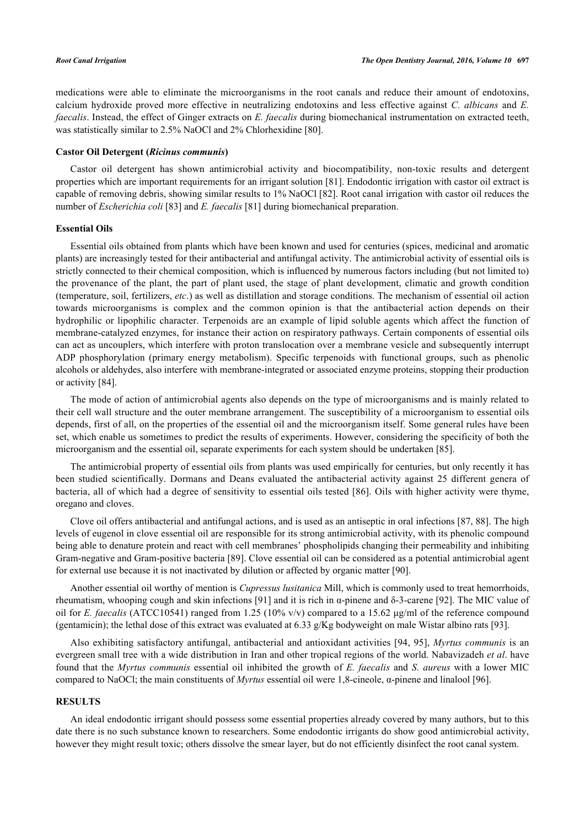medications were able to eliminate the microorganisms in the root canals and reduce their amount of endotoxins, calcium hydroxide proved more effective in neutralizing endotoxins and less effective against *C. albicans* and *E. faecalis*. Instead, the effect of Ginger extracts on *E. faecalis* during biomechanical instrumentation on extracted teeth, was statistically similar to 2.5% NaOCl and 2% Chlorhexidine [\[80](#page-10-11)].

#### **Castor Oil Detergent (***Ricinus communis***)**

Castor oil detergent has shown antimicrobial activity and biocompatibility, non-toxic results and detergent properties which are important requirements for an irrigant solution [[81\]](#page-10-12). Endodontic irrigation with castor oil extract is capable of removing debris, showing similar results to 1% NaOCl [\[82](#page-10-13)]. Root canal irrigation with castor oil reduces the number of *Escherichia coli* [[83\]](#page-10-14) and *E. faecalis* [\[81](#page-10-12)] during biomechanical preparation.

#### **Essential Oils**

Essential oils obtained from plants which have been known and used for centuries (spices, medicinal and aromatic plants) are increasingly tested for their antibacterial and antifungal activity. The antimicrobial activity of essential oils is strictly connected to their chemical composition, which is influenced by numerous factors including (but not limited to) the provenance of the plant, the part of plant used, the stage of plant development, climatic and growth condition (temperature, soil, fertilizers, *etc*.) as well as distillation and storage conditions. The mechanism of essential oil action towards microorganisms is complex and the common opinion is that the antibacterial action depends on their hydrophilic or lipophilic character. Terpenoids are an example of lipid soluble agents which affect the function of membrane-catalyzed enzymes, for instance their action on respiratory pathways. Certain components of essential oils can act as uncouplers, which interfere with proton translocation over a membrane vesicle and subsequently interrupt ADP phosphorylation (primary energy metabolism). Specific terpenoids with functional groups, such as phenolic alcohols or aldehydes, also interfere with membrane-integrated or associated enzyme proteins, stopping their production or activity [\[84](#page-10-15)].

The mode of action of antimicrobial agents also depends on the type of microorganisms and is mainly related to their cell wall structure and the outer membrane arrangement. The susceptibility of a microorganism to essential oils depends, first of all, on the properties of the essential oil and the microorganism itself. Some general rules have been set, which enable us sometimes to predict the results of experiments. However, considering the specificity of both the microorganism and the essential oil, separate experiments for each system should be undertaken [\[85](#page-10-16)].

The antimicrobial property of essential oils from plants was used empirically for centuries, but only recently it has been studied scientifically. Dormans and Deans evaluated the antibacterial activity against 25 different genera of bacteria, all of which had a degree of sensitivity to essential oils tested [[86](#page-10-17)]. Oils with higher activity were thyme, oregano and cloves.

Clove oil offers antibacterial and antifungal actions, and is used as an antiseptic in oral infections [[87](#page-10-18), [88](#page-11-0)]. The high levels of eugenol in clove essential oil are responsible for its strong antimicrobial activity, with its phenolic compound being able to denature protein and react with cell membranes' phospholipids changing their permeability and inhibiting Gram-negative and Gram-positive bacteria [[89\]](#page-11-1). Clove essential oil can be considered as a potential antimicrobial agent for external use because it is not inactivated by dilution or affected by organic matter [\[90](#page-11-2)].

Another essential oil worthy of mention is *Cupressus lusitanica* Mill, which is commonly used to treat hemorrhoids, rheumatism, whooping cough and skin infections [[91\]](#page-11-3) and it is rich in α-pinene and δ-3-carene [[92](#page-11-4)]. The MIC value of oil for *E. faecalis* (ATCC10541) ranged from 1.25 (10% v/v) compared to a 15.62 μg/ml of the reference compound (gentamicin); the lethal dose of this extract was evaluated at 6.33 g/Kg bodyweight on male Wistar albino rats [\[93](#page-11-5)].

Also exhibiting satisfactory antifungal, antibacterial and antioxidant activities [[94](#page-11-6), [95](#page-11-7)], *Myrtus communis* is an evergreen small tree with a wide distribution in Iran and other tropical regions of the world. Nabavizadeh *et al*. have found that the *Myrtus communis* essential oil inhibited the growth of *E. faecalis* and *S. aureus* with a lower MIC compared to NaOCl; the main constituents of *Myrtus* essential oil were 1,8-cineole, α-pinene and linalool [\[96](#page-11-8)].

#### **RESULTS**

An ideal endodontic irrigant should possess some essential properties already covered by many authors, but to this date there is no such substance known to researchers. Some endodontic irrigants do show good antimicrobial activity, however they might result toxic; others dissolve the smear layer, but do not efficiently disinfect the root canal system.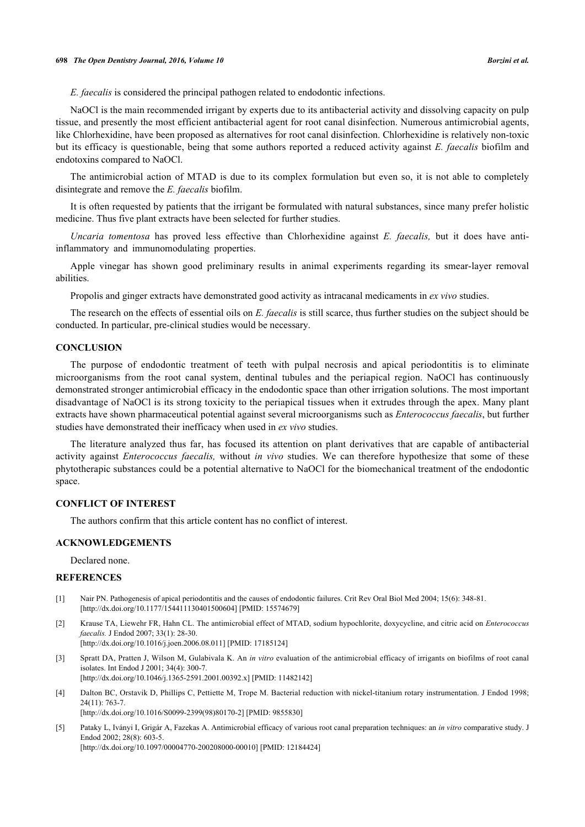*E. faecalis* is considered the principal pathogen related to endodontic infections.

NaOCl is the main recommended irrigant by experts due to its antibacterial activity and dissolving capacity on pulp tissue, and presently the most efficient antibacterial agent for root canal disinfection. Numerous antimicrobial agents, like Chlorhexidine, have been proposed as alternatives for root canal disinfection. Chlorhexidine is relatively non-toxic but its efficacy is questionable, being that some authors reported a reduced activity against *E. faecalis* biofilm and endotoxins compared to NaOCl.

The antimicrobial action of MTAD is due to its complex formulation but even so, it is not able to completely disintegrate and remove the *E. faecalis* biofilm.

It is often requested by patients that the irrigant be formulated with natural substances, since many prefer holistic medicine. Thus five plant extracts have been selected for further studies.

*Uncaria tomentosa* has proved less effective than Chlorhexidine against *E. faecalis,* but it does have antiinflammatory and immunomodulating properties.

Apple vinegar has shown good preliminary results in animal experiments regarding its smear-layer removal abilities.

Propolis and ginger extracts have demonstrated good activity as intracanal medicaments in *ex vivo* studies.

The research on the effects of essential oils on *E. faecalis* is still scarce, thus further studies on the subject should be conducted. In particular, pre-clinical studies would be necessary.

#### **CONCLUSION**

The purpose of endodontic treatment of teeth with pulpal necrosis and apical periodontitis is to eliminate microorganisms from the root canal system, dentinal tubules and the periapical region. NaOCl has continuously demonstrated stronger antimicrobial efficacy in the endodontic space than other irrigation solutions. The most important disadvantage of NaOCl is its strong toxicity to the periapical tissues when it extrudes through the apex. Many plant extracts have shown pharmaceutical potential against several microorganisms such as *Enterococcus faecalis*, but further studies have demonstrated their inefficacy when used in *ex vivo* studies.

The literature analyzed thus far, has focused its attention on plant derivatives that are capable of antibacterial activity against *Enterococcus faecalis,* without *in vivo* studies. We can therefore hypothesize that some of these phytotherapic substances could be a potential alternative to NaOCl for the biomechanical treatment of the endodontic space.

### **CONFLICT OF INTEREST**

The authors confirm that this article content has no conflict of interest.

# **ACKNOWLEDGEMENTS**

Declared none.

## **REFERENCES**

- <span id="page-6-0"></span>[1] Nair PN. Pathogenesis of apical periodontitis and the causes of endodontic failures. Crit Rev Oral Biol Med 2004; 15(6): 348-81. [\[http://dx.doi.org/10.1177/154411130401500604\]](http://dx.doi.org/10.1177/154411130401500604) [PMID: [15574679](http://www.ncbi.nlm.nih.gov/pubmed/15574679)]
- <span id="page-6-1"></span>[2] Krause TA, Liewehr FR, Hahn CL. The antimicrobial effect of MTAD, sodium hypochlorite, doxycycline, and citric acid on *Enterococcus faecalis.* J Endod 2007; 33(1): 28-30. [\[http://dx.doi.org/10.1016/j.joen.2006.08.011\]](http://dx.doi.org/10.1016/j.joen.2006.08.011) [PMID: [17185124](http://www.ncbi.nlm.nih.gov/pubmed/17185124)]
- <span id="page-6-2"></span>[3] Spratt DA, Pratten J, Wilson M, Gulabivala K. An *in vitro* evaluation of the antimicrobial efficacy of irrigants on biofilms of root canal isolates. Int Endod J 2001; 34(4): 300-7. [\[http://dx.doi.org/10.1046/j.1365-2591.2001.00392.x\]](http://dx.doi.org/10.1046/j.1365-2591.2001.00392.x) [PMID: [11482142](http://www.ncbi.nlm.nih.gov/pubmed/11482142)]
- <span id="page-6-3"></span>[4] Dalton BC, Orstavik D, Phillips C, Pettiette M, Trope M. Bacterial reduction with nickel-titanium rotary instrumentation. J Endod 1998; 24(11): 763-7. [\[http://dx.doi.org/10.1016/S0099-2399\(98\)80170-2\]](http://dx.doi.org/10.1016/S0099-2399(98)80170-2) [PMID: [9855830](http://www.ncbi.nlm.nih.gov/pubmed/9855830)]
- <span id="page-6-4"></span>[5] Pataky L, Iványi I, Grigár A, Fazekas A. Antimicrobial efficacy of various root canal preparation techniques: an *in vitro* comparative study. J Endod 2002; 28(8): 603-5. [\[http://dx.doi.org/10.1097/00004770-200208000-00010](http://dx.doi.org/10.1097/00004770-200208000-00010)] [PMID: [12184424\]](http://www.ncbi.nlm.nih.gov/pubmed/12184424)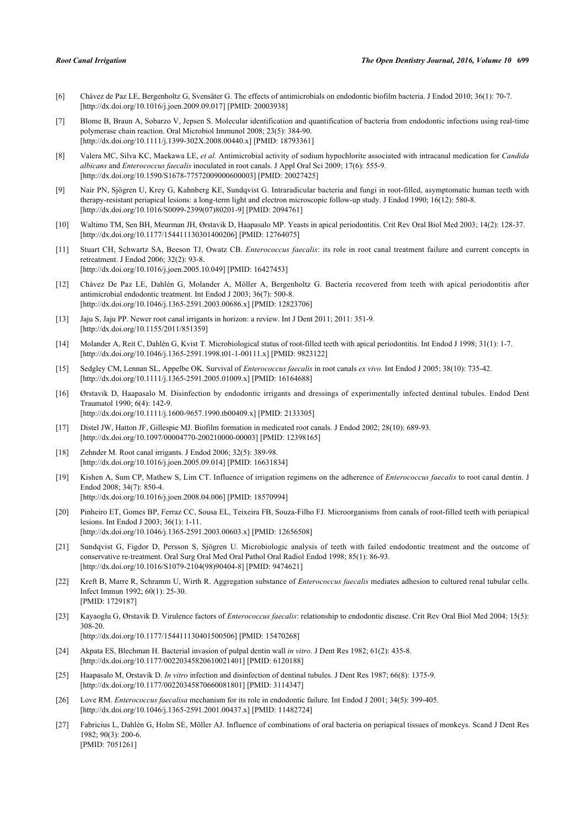- <span id="page-7-0"></span>[6] Chávez de Paz LE, Bergenholtz G, Svensäter G. The effects of antimicrobials on endodontic biofilm bacteria. J Endod 2010; 36(1): 70-7. [\[http://dx.doi.org/10.1016/j.joen.2009.09.017\]](http://dx.doi.org/10.1016/j.joen.2009.09.017) [PMID: [20003938](http://www.ncbi.nlm.nih.gov/pubmed/20003938)]
- <span id="page-7-1"></span>[7] Blome B, Braun A, Sobarzo V, Jepsen S. Molecular identification and quantification of bacteria from endodontic infections using real-time polymerase chain reaction. Oral Microbiol Immunol 2008; 23(5): 384-90. [\[http://dx.doi.org/10.1111/j.1399-302X.2008.00440.x](http://dx.doi.org/10.1111/j.1399-302X.2008.00440.x)] [PMID: [18793361](http://www.ncbi.nlm.nih.gov/pubmed/18793361)]
- <span id="page-7-2"></span>[8] Valera MC, Silva KC, Maekawa LE, *et al.* Antimicrobial activity of sodium hypochlorite associated with intracanal medication for *Candida albicans* and *Enterococcus faecalis* inoculated in root canals. J Appl Oral Sci 2009; 17(6): 555-9. [\[http://dx.doi.org/10.1590/S1678-77572009000600003\]](http://dx.doi.org/10.1590/S1678-77572009000600003) [PMID: [20027425](http://www.ncbi.nlm.nih.gov/pubmed/20027425)]
- <span id="page-7-3"></span>[9] Nair PN, Sjögren U, Krey G, Kahnberg KE, Sundqvist G. Intraradicular bacteria and fungi in root-filled, asymptomatic human teeth with therapy-resistant periapical lesions: a long-term light and electron microscopic follow-up study. J Endod 1990; 16(12): 580-8. [\[http://dx.doi.org/10.1016/S0099-2399\(07\)80201-9\]](http://dx.doi.org/10.1016/S0099-2399(07)80201-9) [PMID: [2094761](http://www.ncbi.nlm.nih.gov/pubmed/2094761)]
- <span id="page-7-4"></span>[10] Waltimo TM, Sen BH, Meurman JH, Ørstavik D, Haapasalo MP. Yeasts in apical periodontitis. Crit Rev Oral Biol Med 2003; 14(2): 128-37. [\[http://dx.doi.org/10.1177/154411130301400206\]](http://dx.doi.org/10.1177/154411130301400206) [PMID: [12764075](http://www.ncbi.nlm.nih.gov/pubmed/12764075)]
- <span id="page-7-5"></span>[11] Stuart CH, Schwartz SA, Beeson TJ, Owatz CB. *Enterococcus faecalis*: its role in root canal treatment failure and current concepts in retreatment. J Endod 2006; 32(2): 93-8. [\[http://dx.doi.org/10.1016/j.joen.2005.10.049\]](http://dx.doi.org/10.1016/j.joen.2005.10.049) [PMID: [16427453](http://www.ncbi.nlm.nih.gov/pubmed/16427453)]
- <span id="page-7-18"></span>[12] Chávez De Paz LE, Dahlén G, Molander A, Möller A, Bergenholtz G. Bacteria recovered from teeth with apical periodontitis after antimicrobial endodontic treatment. Int Endod J 2003; 36(7): 500-8. [\[http://dx.doi.org/10.1046/j.1365-2591.2003.00686.x\]](http://dx.doi.org/10.1046/j.1365-2591.2003.00686.x) [PMID: [12823706](http://www.ncbi.nlm.nih.gov/pubmed/12823706)]
- [13] Jaju S, Jaju PP. Newer root canal irrigants in horizon: a review. Int J Dent 2011; 2011: 351-9. [\[http://dx.doi.org/10.1155/2011/851359](http://dx.doi.org/10.1155/2011/851359)]
- [14] Molander A, Reit C, Dahlén G, Kvist T. Microbiological status of root-filled teeth with apical periodontitis. Int Endod J 1998; 31(1): 1-7. [\[http://dx.doi.org/10.1046/j.1365-2591.1998.t01-1-00111.x](http://dx.doi.org/10.1046/j.1365-2591.1998.t01-1-00111.x)] [PMID: [9823122\]](http://www.ncbi.nlm.nih.gov/pubmed/9823122)
- <span id="page-7-6"></span>[15] Sedgley CM, Lennan SL, Appelbe OK. Survival of *Enterococcus faecalis* in root canals *ex vivo.* Int Endod J 2005; 38(10): 735-42. [\[http://dx.doi.org/10.1111/j.1365-2591.2005.01009.x\]](http://dx.doi.org/10.1111/j.1365-2591.2005.01009.x) [PMID: [16164688](http://www.ncbi.nlm.nih.gov/pubmed/16164688)]
- <span id="page-7-7"></span>[16] Ørstavik D, Haapasalo M. Disinfection by endodontic irrigants and dressings of experimentally infected dentinal tubules. Endod Dent Traumatol 1990; 6(4): 142-9. [\[http://dx.doi.org/10.1111/j.1600-9657.1990.tb00409.x\]](http://dx.doi.org/10.1111/j.1600-9657.1990.tb00409.x) [PMID: [2133305](http://www.ncbi.nlm.nih.gov/pubmed/2133305)]
- <span id="page-7-8"></span>[17] Distel JW, Hatton JF, Gillespie MJ. Biofilm formation in medicated root canals. J Endod 2002; 28(10): 689-93. [\[http://dx.doi.org/10.1097/00004770-200210000-00003](http://dx.doi.org/10.1097/00004770-200210000-00003)] [PMID: [12398165\]](http://www.ncbi.nlm.nih.gov/pubmed/12398165)
- <span id="page-7-9"></span>[18] Zehnder M. Root canal irrigants. J Endod 2006; 32(5): 389-98. [\[http://dx.doi.org/10.1016/j.joen.2005.09.014\]](http://dx.doi.org/10.1016/j.joen.2005.09.014) [PMID: [16631834](http://www.ncbi.nlm.nih.gov/pubmed/16631834)]
- <span id="page-7-10"></span>[19] Kishen A, Sum CP, Mathew S, Lim CT. Influence of irrigation regimens on the adherence of *Enterococcus faecalis* to root canal dentin. J Endod 2008; 34(7): 850-4. [\[http://dx.doi.org/10.1016/j.joen.2008.04.006\]](http://dx.doi.org/10.1016/j.joen.2008.04.006) [PMID: [18570994](http://www.ncbi.nlm.nih.gov/pubmed/18570994)]
- <span id="page-7-11"></span>[20] Pinheiro ET, Gomes BP, Ferraz CC, Sousa EL, Teixeira FB, Souza-Filho FJ. Microorganisms from canals of root-filled teeth with periapical lesions. Int Endod J 2003; 36(1): 1-11. [\[http://dx.doi.org/10.1046/j.1365-2591.2003.00603.x\]](http://dx.doi.org/10.1046/j.1365-2591.2003.00603.x) [PMID: [12656508](http://www.ncbi.nlm.nih.gov/pubmed/12656508)]
- <span id="page-7-12"></span>[21] Sundqvist G, Figdor D, Persson S, Sjögren U. Microbiologic analysis of teeth with failed endodontic treatment and the outcome of conservative re-treatment. Oral Surg Oral Med Oral Pathol Oral Radiol Endod 1998; 85(1): 86-93. [\[http://dx.doi.org/10.1016/S1079-2104\(98\)90404-8\]](http://dx.doi.org/10.1016/S1079-2104(98)90404-8) [PMID: [9474621](http://www.ncbi.nlm.nih.gov/pubmed/9474621)]
- <span id="page-7-13"></span>[22] Kreft B, Marre R, Schramm U, Wirth R. Aggregation substance of *Enterococcus faecalis* mediates adhesion to cultured renal tubular cells. Infect Immun 1992; 60(1): 25-30. [PMID: [1729187\]](http://www.ncbi.nlm.nih.gov/pubmed/1729187)
- <span id="page-7-14"></span>[23] Kayaoglu G, Ørstavik D. Virulence factors of *Enterococcus faecalis*: relationship to endodontic disease. Crit Rev Oral Biol Med 2004; 15(5): 308-20. [\[http://dx.doi.org/10.1177/154411130401500506\]](http://dx.doi.org/10.1177/154411130401500506) [PMID: [15470268](http://www.ncbi.nlm.nih.gov/pubmed/15470268)]
- <span id="page-7-15"></span>[24] Akpata ES, Blechman H. Bacterial invasion of pulpal dentin wall *in vitro*. J Dent Res 1982; 61(2): 435-8. [\[http://dx.doi.org/10.1177/00220345820610021401\]](http://dx.doi.org/10.1177/00220345820610021401) [PMID: [6120188](http://www.ncbi.nlm.nih.gov/pubmed/6120188)]
- [25] Haapasalo M, Orstavik D. *In vitro* infection and disinfection of dentinal tubules. J Dent Res 1987; 66(8): 1375-9. [\[http://dx.doi.org/10.1177/00220345870660081801\]](http://dx.doi.org/10.1177/00220345870660081801) [PMID: [3114347](http://www.ncbi.nlm.nih.gov/pubmed/3114347)]
- <span id="page-7-16"></span>[26] Love RM. *Enterococcus faecalisa* mechanism for its role in endodontic failure. Int Endod J 2001; 34(5): 399-405. [\[http://dx.doi.org/10.1046/j.1365-2591.2001.00437.x\]](http://dx.doi.org/10.1046/j.1365-2591.2001.00437.x) [PMID: [11482724](http://www.ncbi.nlm.nih.gov/pubmed/11482724)]
- <span id="page-7-17"></span>[27] Fabricius L, Dahlén G, Holm SE, Möller AJ. Influence of combinations of oral bacteria on periapical tissues of monkeys. Scand J Dent Res 1982; 90(3): 200-6. [PMID: [7051261\]](http://www.ncbi.nlm.nih.gov/pubmed/7051261)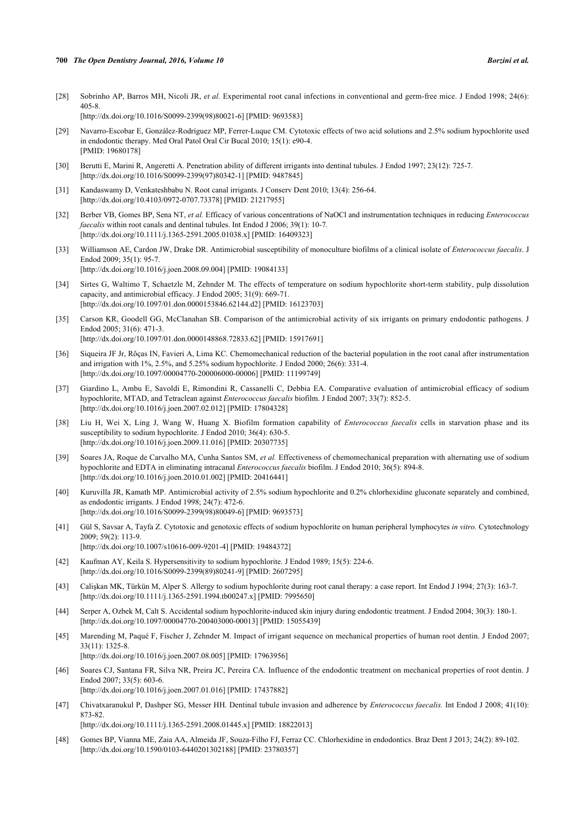- <span id="page-8-0"></span>[28] Sobrinho AP, Barros MH, Nicoli JR, *et al.* Experimental root canal infections in conventional and germ-free mice. J Endod 1998; 24(6): 405-8. [\[http://dx.doi.org/10.1016/S0099-2399\(98\)80021-6\]](http://dx.doi.org/10.1016/S0099-2399(98)80021-6) [PMID: [9693583](http://www.ncbi.nlm.nih.gov/pubmed/9693583)]
- <span id="page-8-1"></span>[29] Navarro-Escobar E, González-Rodríguez MP, Ferrer-Luque CM. Cytotoxic effects of two acid solutions and 2.5% sodium hypochlorite used in endodontic therapy. Med Oral Patol Oral Cir Bucal 2010; 15(1): e90-4. [PMID: [19680178\]](http://www.ncbi.nlm.nih.gov/pubmed/19680178)
- <span id="page-8-2"></span>[30] Berutti E, Marini R, Angeretti A. Penetration ability of different irrigants into dentinal tubules. J Endod 1997; 23(12): 725-7. [\[http://dx.doi.org/10.1016/S0099-2399\(97\)80342-1\]](http://dx.doi.org/10.1016/S0099-2399(97)80342-1) [PMID: [9487845](http://www.ncbi.nlm.nih.gov/pubmed/9487845)]
- <span id="page-8-3"></span>[31] Kandaswamy D, Venkateshbabu N. Root canal irrigants. J Conserv Dent 2010; 13(4): 256-64. [\[http://dx.doi.org/10.4103/0972-0707.73378](http://dx.doi.org/10.4103/0972-0707.73378)] [PMID: [21217955](http://www.ncbi.nlm.nih.gov/pubmed/21217955)]
- <span id="page-8-4"></span>[32] Berber VB, Gomes BP, Sena NT, *et al.* Efficacy of various concentrations of NaOCl and instrumentation techniques in reducing *Enterococcus faecalis* within root canals and dentinal tubules. Int Endod J 2006; 39(1): 10-7. [\[http://dx.doi.org/10.1111/j.1365-2591.2005.01038.x\]](http://dx.doi.org/10.1111/j.1365-2591.2005.01038.x) [PMID: [16409323](http://www.ncbi.nlm.nih.gov/pubmed/16409323)]
- <span id="page-8-18"></span>[33] Williamson AE, Cardon JW, Drake DR. Antimicrobial susceptibility of monoculture biofilms of a clinical isolate of *Enterococcus faecalis*. J Endod 2009; 35(1): 95-7. [\[http://dx.doi.org/10.1016/j.joen.2008.09.004\]](http://dx.doi.org/10.1016/j.joen.2008.09.004) [PMID: [19084133](http://www.ncbi.nlm.nih.gov/pubmed/19084133)]
- <span id="page-8-5"></span>[34] Sirtes G, Waltimo T, Schaetzle M, Zehnder M. The effects of temperature on sodium hypochlorite short-term stability, pulp dissolution capacity, and antimicrobial efficacy. J Endod 2005; 31(9): 669-71. [\[http://dx.doi.org/10.1097/01.don.0000153846.62144.d2\]](http://dx.doi.org/10.1097/01.don.0000153846.62144.d2) [PMID: [16123703](http://www.ncbi.nlm.nih.gov/pubmed/16123703)]
- <span id="page-8-6"></span>[35] Carson KR, Goodell GG, McClanahan SB. Comparison of the antimicrobial activity of six irrigants on primary endodontic pathogens. J Endod 2005; 31(6): 471-3. [\[http://dx.doi.org/10.1097/01.don.0000148868.72833.62\]](http://dx.doi.org/10.1097/01.don.0000148868.72833.62) [PMID: [15917691](http://www.ncbi.nlm.nih.gov/pubmed/15917691)]
- [36] Siqueira JF Jr, Rôças IN, Favieri A, Lima KC. Chemomechanical reduction of the bacterial population in the root canal after instrumentation and irrigation with 1%, 2.5%, and 5.25% sodium hypochlorite. J Endod 2000; 26(6): 331-4. [\[http://dx.doi.org/10.1097/00004770-200006000-00006](http://dx.doi.org/10.1097/00004770-200006000-00006)] [PMID: [11199749\]](http://www.ncbi.nlm.nih.gov/pubmed/11199749)
- <span id="page-8-7"></span>[37] Giardino L, Ambu E, Savoldi E, Rimondini R, Cassanelli C, Debbia EA. Comparative evaluation of antimicrobial efficacy of sodium hypochlorite, MTAD, and Tetraclean against *Enterococcus faecalis* biofilm. J Endod 2007; 33(7): 852-5. [\[http://dx.doi.org/10.1016/j.joen.2007.02.012\]](http://dx.doi.org/10.1016/j.joen.2007.02.012) [PMID: [17804328](http://www.ncbi.nlm.nih.gov/pubmed/17804328)]
- <span id="page-8-8"></span>[38] Liu H, Wei X, Ling J, Wang W, Huang X. Biofilm formation capability of *Enterococcus faecalis* cells in starvation phase and its susceptibility to sodium hypochlorite. J Endod 2010; 36(4): 630-5. [\[http://dx.doi.org/10.1016/j.joen.2009.11.016\]](http://dx.doi.org/10.1016/j.joen.2009.11.016) [PMID: [20307735](http://www.ncbi.nlm.nih.gov/pubmed/20307735)]
- <span id="page-8-9"></span>[39] Soares JA, Roque de Carvalho MA, Cunha Santos SM, *et al.* Effectiveness of chemomechanical preparation with alternating use of sodium hypochlorite and EDTA in eliminating intracanal *Enterococcus faecalis* biofilm. J Endod 2010; 36(5): 894-8. [\[http://dx.doi.org/10.1016/j.joen.2010.01.002\]](http://dx.doi.org/10.1016/j.joen.2010.01.002) [PMID: [20416441](http://www.ncbi.nlm.nih.gov/pubmed/20416441)]
- <span id="page-8-10"></span>[40] Kuruvilla JR, Kamath MP. Antimicrobial activity of 2.5% sodium hypochlorite and 0.2% chlorhexidine gluconate separately and combined, as endodontic irrigants. J Endod 1998; 24(7): 472-6. [\[http://dx.doi.org/10.1016/S0099-2399\(98\)80049-6\]](http://dx.doi.org/10.1016/S0099-2399(98)80049-6) [PMID: [9693573](http://www.ncbi.nlm.nih.gov/pubmed/9693573)]
- <span id="page-8-11"></span>[41] Gül S, Savsar A, Tayfa Z. Cytotoxic and genotoxic effects of sodium hypochlorite on human peripheral lymphocytes *in vitro.* Cytotechnology 2009; 59(2): 113-9. [\[http://dx.doi.org/10.1007/s10616-009-9201-4\]](http://dx.doi.org/10.1007/s10616-009-9201-4) [PMID: [19484372](http://www.ncbi.nlm.nih.gov/pubmed/19484372)]
- <span id="page-8-12"></span>[42] Kaufman AY, Keila S. Hypersensitivity to sodium hypochlorite. J Endod 1989; 15(5): 224-6. [\[http://dx.doi.org/10.1016/S0099-2399\(89\)80241-9\]](http://dx.doi.org/10.1016/S0099-2399(89)80241-9) [PMID: [2607295](http://www.ncbi.nlm.nih.gov/pubmed/2607295)]
- [43] Calişkan MK, Türkün M, Alper S. Allergy to sodium hypochlorite during root canal therapy: a case report. Int Endod J 1994; 27(3): 163-7. [\[http://dx.doi.org/10.1111/j.1365-2591.1994.tb00247.x\]](http://dx.doi.org/10.1111/j.1365-2591.1994.tb00247.x) [PMID: [7995650](http://www.ncbi.nlm.nih.gov/pubmed/7995650)]
- <span id="page-8-13"></span>[44] Serper A, Ozbek M, Calt S. Accidental sodium hypochlorite-induced skin injury during endodontic treatment. J Endod 2004; 30(3): 180-1. [\[http://dx.doi.org/10.1097/00004770-200403000-00013](http://dx.doi.org/10.1097/00004770-200403000-00013)] [PMID: [15055439\]](http://www.ncbi.nlm.nih.gov/pubmed/15055439)
- <span id="page-8-14"></span>[45] Marending M, Paqué F, Fischer J, Zehnder M. Impact of irrigant sequence on mechanical properties of human root dentin. J Endod 2007; 33(11): 1325-8.

[\[http://dx.doi.org/10.1016/j.joen.2007.08.005\]](http://dx.doi.org/10.1016/j.joen.2007.08.005) [PMID: [17963956](http://www.ncbi.nlm.nih.gov/pubmed/17963956)]

<span id="page-8-15"></span>[46] Soares CJ, Santana FR, Silva NR, Preira JC, Pereira CA. Influence of the endodontic treatment on mechanical properties of root dentin. J Endod 2007; 33(5): 603-6.

[\[http://dx.doi.org/10.1016/j.joen.2007.01.016\]](http://dx.doi.org/10.1016/j.joen.2007.01.016) [PMID: [17437882](http://www.ncbi.nlm.nih.gov/pubmed/17437882)]

<span id="page-8-16"></span>[47] Chivatxaranukul P, Dashper SG, Messer HH. Dentinal tubule invasion and adherence by *Enterococcus faecalis.* Int Endod J 2008; 41(10): 873-82.

[\[http://dx.doi.org/10.1111/j.1365-2591.2008.01445.x\]](http://dx.doi.org/10.1111/j.1365-2591.2008.01445.x) [PMID: [18822013](http://www.ncbi.nlm.nih.gov/pubmed/18822013)]

<span id="page-8-17"></span>[48] Gomes BP, Vianna ME, Zaia AA, Almeida JF, Souza-Filho FJ, Ferraz CC. Chlorhexidine in endodontics. Braz Dent J 2013; 24(2): 89-102. [\[http://dx.doi.org/10.1590/0103-6440201302188](http://dx.doi.org/10.1590/0103-6440201302188)] [PMID: [23780357](http://www.ncbi.nlm.nih.gov/pubmed/23780357)]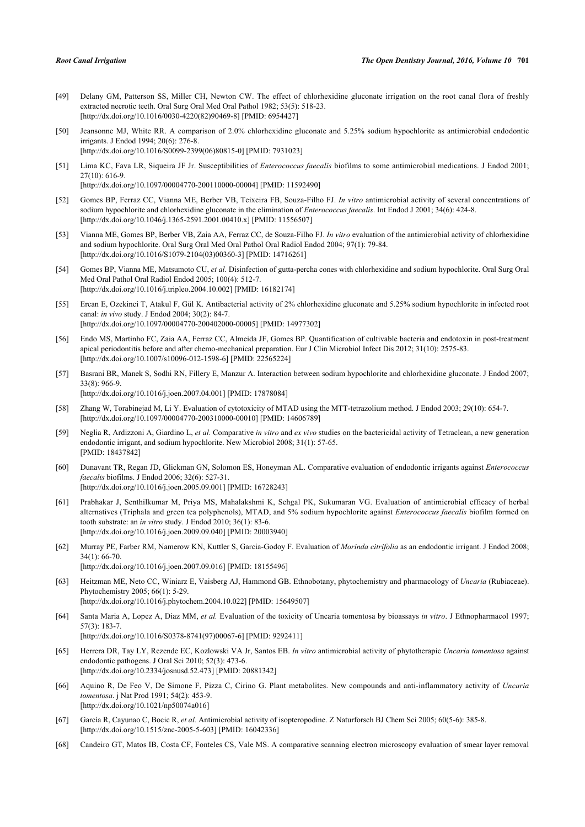- <span id="page-9-0"></span>[49] Delany GM, Patterson SS, Miller CH, Newton CW. The effect of chlorhexidine gluconate irrigation on the root canal flora of freshly extracted necrotic teeth. Oral Surg Oral Med Oral Pathol 1982; 53(5): 518-23. [\[http://dx.doi.org/10.1016/0030-4220\(82\)90469-8](http://dx.doi.org/10.1016/0030-4220(82)90469-8)] [PMID: [6954427](http://www.ncbi.nlm.nih.gov/pubmed/6954427)]
- <span id="page-9-1"></span>[50] Jeansonne MJ, White RR. A comparison of 2.0% chlorhexidine gluconate and 5.25% sodium hypochlorite as antimicrobial endodontic irrigants. J Endod 1994; 20(6): 276-8. [\[http://dx.doi.org/10.1016/S0099-2399\(06\)80815-0\]](http://dx.doi.org/10.1016/S0099-2399(06)80815-0) [PMID: [7931023](http://www.ncbi.nlm.nih.gov/pubmed/7931023)]
- <span id="page-9-2"></span>[51] Lima KC, Fava LR, Siqueira JF Jr. Susceptibilities of *Enterococcus faecalis* biofilms to some antimicrobial medications. J Endod 2001; 27(10): 616-9. [\[http://dx.doi.org/10.1097/00004770-200110000-00004](http://dx.doi.org/10.1097/00004770-200110000-00004)] [PMID: [11592490\]](http://www.ncbi.nlm.nih.gov/pubmed/11592490)
- <span id="page-9-3"></span>[52] Gomes BP, Ferraz CC, Vianna ME, Berber VB, Teixeira FB, Souza-Filho FJ. *In vitro* antimicrobial activity of several concentrations of sodium hypochlorite and chlorhexidine gluconate in the elimination of *Enterococcus faecalis*. Int Endod J 2001; 34(6): 424-8. [\[http://dx.doi.org/10.1046/j.1365-2591.2001.00410.x\]](http://dx.doi.org/10.1046/j.1365-2591.2001.00410.x) [PMID: [11556507](http://www.ncbi.nlm.nih.gov/pubmed/11556507)]
- [53] Vianna ME, Gomes BP, Berber VB, Zaia AA, Ferraz CC, de Souza-Filho FJ. *In vitro* evaluation of the antimicrobial activity of chlorhexidine and sodium hypochlorite. Oral Surg Oral Med Oral Pathol Oral Radiol Endod 2004; 97(1): 79-84. [\[http://dx.doi.org/10.1016/S1079-2104\(03\)00360-3\]](http://dx.doi.org/10.1016/S1079-2104(03)00360-3) [PMID: [14716261](http://www.ncbi.nlm.nih.gov/pubmed/14716261)]
- <span id="page-9-4"></span>[54] Gomes BP, Vianna ME, Matsumoto CU, *et al.* Disinfection of gutta-percha cones with chlorhexidine and sodium hypochlorite. Oral Surg Oral Med Oral Pathol Oral Radiol Endod 2005; 100(4): 512-7. [\[http://dx.doi.org/10.1016/j.tripleo.2004.10.002\]](http://dx.doi.org/10.1016/j.tripleo.2004.10.002) [PMID: [16182174](http://www.ncbi.nlm.nih.gov/pubmed/16182174)]
- <span id="page-9-5"></span>[55] Ercan E, Ozekinci T, Atakul F, Gül K. Antibacterial activity of 2% chlorhexidine gluconate and 5.25% sodium hypochlorite in infected root canal: *in vivo* study. J Endod 2004; 30(2): 84-7. [\[http://dx.doi.org/10.1097/00004770-200402000-00005](http://dx.doi.org/10.1097/00004770-200402000-00005)] [PMID: [14977302\]](http://www.ncbi.nlm.nih.gov/pubmed/14977302)
- <span id="page-9-6"></span>[56] Endo MS, Martinho FC, Zaia AA, Ferraz CC, Almeida JF, Gomes BP. Quantification of cultivable bacteria and endotoxin in post-treatment apical periodontitis before and after chemo-mechanical preparation. Eur J Clin Microbiol Infect Dis 2012; 31(10): 2575-83. [\[http://dx.doi.org/10.1007/s10096-012-1598-6\]](http://dx.doi.org/10.1007/s10096-012-1598-6) [PMID: [22565224](http://www.ncbi.nlm.nih.gov/pubmed/22565224)]
- <span id="page-9-7"></span>[57] Basrani BR, Manek S, Sodhi RN, Fillery E, Manzur A. Interaction between sodium hypochlorite and chlorhexidine gluconate. J Endod 2007; 33(8): 966-9. [\[http://dx.doi.org/10.1016/j.joen.2007.04.001\]](http://dx.doi.org/10.1016/j.joen.2007.04.001) [PMID: [17878084](http://www.ncbi.nlm.nih.gov/pubmed/17878084)]
- <span id="page-9-8"></span>[58] Zhang W, Torabinejad M, Li Y. Evaluation of cytotoxicity of MTAD using the MTT-tetrazolium method. J Endod 2003; 29(10): 654-7. [\[http://dx.doi.org/10.1097/00004770-200310000-00010](http://dx.doi.org/10.1097/00004770-200310000-00010)] [PMID: [14606789\]](http://www.ncbi.nlm.nih.gov/pubmed/14606789)
- <span id="page-9-9"></span>[59] Neglia R, Ardizzoni A, Giardino L, *et al.* Comparative *in vitro* and *ex vivo* studies on the bactericidal activity of Tetraclean, a new generation endodontic irrigant, and sodium hypochlorite. New Microbiol 2008; 31(1): 57-65. [PMID: [18437842\]](http://www.ncbi.nlm.nih.gov/pubmed/18437842)
- <span id="page-9-10"></span>[60] Dunavant TR, Regan JD, Glickman GN, Solomon ES, Honeyman AL. Comparative evaluation of endodontic irrigants against *Enterococcus faecalis* biofilms. J Endod 2006; 32(6): 527-31. [\[http://dx.doi.org/10.1016/j.joen.2005.09.001\]](http://dx.doi.org/10.1016/j.joen.2005.09.001) [PMID: [16728243](http://www.ncbi.nlm.nih.gov/pubmed/16728243)]
- <span id="page-9-11"></span>[61] Prabhakar J, Senthilkumar M, Priya MS, Mahalakshmi K, Sehgal PK, Sukumaran VG. Evaluation of antimicrobial efficacy of herbal alternatives (Triphala and green tea polyphenols), MTAD, and 5% sodium hypochlorite against *Enterococcus faecalis* biofilm formed on tooth substrate: an *in vitro* study. J Endod 2010; 36(1): 83-6. [\[http://dx.doi.org/10.1016/j.joen.2009.09.040\]](http://dx.doi.org/10.1016/j.joen.2009.09.040) [PMID: [20003940](http://www.ncbi.nlm.nih.gov/pubmed/20003940)]
- <span id="page-9-12"></span>[62] Murray PE, Farber RM, Namerow KN, Kuttler S, Garcia-Godoy F. Evaluation of *Morinda citrifolia* as an endodontic irrigant. J Endod 2008; 34(1): 66-70. [\[http://dx.doi.org/10.1016/j.joen.2007.09.016\]](http://dx.doi.org/10.1016/j.joen.2007.09.016) [PMID: [18155496](http://www.ncbi.nlm.nih.gov/pubmed/18155496)]
- <span id="page-9-13"></span>[63] Heitzman ME, Neto CC, Winiarz E, Vaisberg AJ, Hammond GB. Ethnobotany, phytochemistry and pharmacology of *Uncaria* (Rubiaceae). Phytochemistry 2005; 66(1): 5-29. [\[http://dx.doi.org/10.1016/j.phytochem.2004.10.022\]](http://dx.doi.org/10.1016/j.phytochem.2004.10.022) [PMID: [15649507](http://www.ncbi.nlm.nih.gov/pubmed/15649507)]
- <span id="page-9-14"></span>[64] Santa Maria A, Lopez A, Diaz MM, *et al.* Evaluation of the toxicity of Uncaria tomentosa by bioassays *in vitro*. J Ethnopharmacol 1997; 57(3): 183-7. [\[http://dx.doi.org/10.1016/S0378-8741\(97\)00067-6\]](http://dx.doi.org/10.1016/S0378-8741(97)00067-6) [PMID: [9292411](http://www.ncbi.nlm.nih.gov/pubmed/9292411)]
- <span id="page-9-15"></span>[65] Herrera DR, Tay LY, Rezende EC, Kozlowski VA Jr, Santos EB. *In vitro* antimicrobial activity of phytotherapic *Uncaria tomentosa* against endodontic pathogens. J Oral Sci 2010; 52(3): 473-6. [\[http://dx.doi.org/10.2334/josnusd.52.473](http://dx.doi.org/10.2334/josnusd.52.473)] [PMID: [20881342\]](http://www.ncbi.nlm.nih.gov/pubmed/20881342)
- <span id="page-9-16"></span>[66] Aquino R, De Feo V, De Simone F, Pizza C, Cirino G. Plant metabolites. New compounds and anti-inflammatory activity of *Uncaria tomentosa*. j Nat Prod 1991; 54(2): 453-9. [\[http://dx.doi.org/10.1021/np50074a016](http://dx.doi.org/10.1021/np50074a016)]
- <span id="page-9-17"></span>[67] García R, Cayunao C, Bocic R, *et al.* Antimicrobial activity of isopteropodine. Z Naturforsch BJ Chem Sci 2005; 60(5-6): 385-8. [\[http://dx.doi.org/10.1515/znc-2005-5-603\]](http://dx.doi.org/10.1515/znc-2005-5-603) [PMID: [16042336](http://www.ncbi.nlm.nih.gov/pubmed/16042336)]
- <span id="page-9-18"></span>[68] Candeiro GT, Matos IB, Costa CF, Fonteles CS, Vale MS. A comparative scanning electron microscopy evaluation of smear layer removal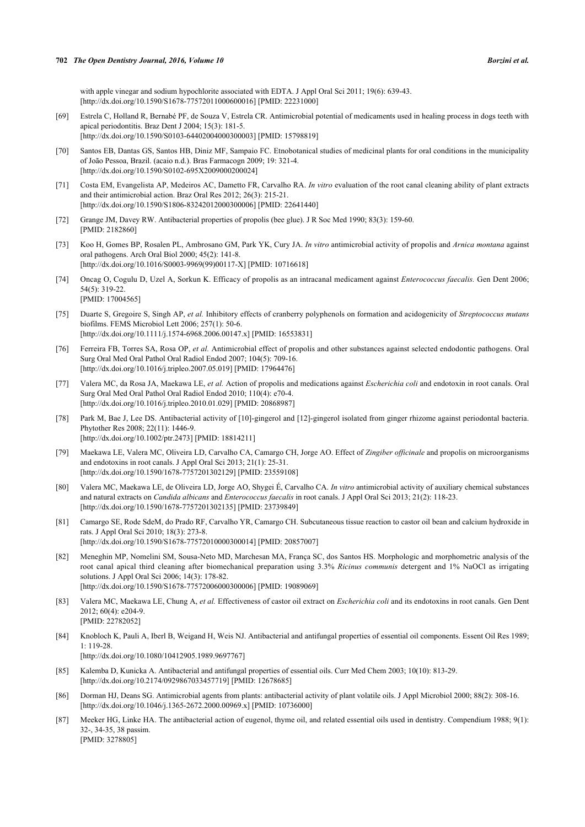with apple vinegar and sodium hypochlorite associated with EDTA. J Appl Oral Sci 2011; 19(6): 639-43. [\[http://dx.doi.org/10.1590/S1678-77572011000600016\]](http://dx.doi.org/10.1590/S1678-77572011000600016) [PMID: [22231000](http://www.ncbi.nlm.nih.gov/pubmed/22231000)]

- <span id="page-10-0"></span>[69] Estrela C, Holland R, Bernabé PF, de Souza V, Estrela CR. Antimicrobial potential of medicaments used in healing process in dogs teeth with apical periodontitis. Braz Dent J 2004; 15(3): 181-5. [\[http://dx.doi.org/10.1590/S0103-64402004000300003\]](http://dx.doi.org/10.1590/S0103-64402004000300003) [PMID: [15798819](http://www.ncbi.nlm.nih.gov/pubmed/15798819)]
- <span id="page-10-1"></span>[70] Santos EB, Dantas GS, Santos HB, Diniz MF, Sampaio FC. Etnobotanical studies of medicinal plants for oral conditions in the municipality of João Pessoa, Brazil. (acaio n.d.). Bras Farmacogn 2009; 19: 321-4. [\[http://dx.doi.org/10.1590/S0102-695X2009000200024\]](http://dx.doi.org/10.1590/S0102-695X2009000200024)
- <span id="page-10-2"></span>[71] Costa EM, Evangelista AP, Medeiros AC, Dametto FR, Carvalho RA. *In vitro* evaluation of the root canal cleaning ability of plant extracts and their antimicrobial action. Braz Oral Res 2012; 26(3): 215-21. [\[http://dx.doi.org/10.1590/S1806-83242012000300006\]](http://dx.doi.org/10.1590/S1806-83242012000300006) [PMID: [22641440](http://www.ncbi.nlm.nih.gov/pubmed/22641440)]
- <span id="page-10-3"></span>[72] Grange JM, Davey RW. Antibacterial properties of propolis (bee glue). J R Soc Med 1990; 83(3): 159-60. [PMID: [2182860\]](http://www.ncbi.nlm.nih.gov/pubmed/2182860)
- <span id="page-10-8"></span>[73] Koo H, Gomes BP, Rosalen PL, Ambrosano GM, Park YK, Cury JA. *In vitro* antimicrobial activity of propolis and *Arnica montana* against oral pathogens. Arch Oral Biol 2000; 45(2): 141-8. [\[http://dx.doi.org/10.1016/S0003-9969\(99\)00117-X\]](http://dx.doi.org/10.1016/S0003-9969(99)00117-X) [PMID: [10716618](http://www.ncbi.nlm.nih.gov/pubmed/10716618)]
- <span id="page-10-4"></span>[74] Oncag O, Cogulu D, Uzel A, Sorkun K. Efficacy of propolis as an intracanal medicament against *Enterococcus faecalis.* Gen Dent 2006; 54(5): 319-22. [PMID: [17004565\]](http://www.ncbi.nlm.nih.gov/pubmed/17004565)
- <span id="page-10-5"></span>[75] Duarte S, Gregoire S, Singh AP, *et al.* Inhibitory effects of cranberry polyphenols on formation and acidogenicity of *Streptococcus mutans* biofilms. FEMS Microbiol Lett 2006; 257(1): 50-6. [\[http://dx.doi.org/10.1111/j.1574-6968.2006.00147.x\]](http://dx.doi.org/10.1111/j.1574-6968.2006.00147.x) [PMID: [16553831](http://www.ncbi.nlm.nih.gov/pubmed/16553831)]
- <span id="page-10-6"></span>[76] Ferreira FB, Torres SA, Rosa OP, *et al.* Antimicrobial effect of propolis and other substances against selected endodontic pathogens. Oral Surg Oral Med Oral Pathol Oral Radiol Endod 2007; 104(5): 709-16. [\[http://dx.doi.org/10.1016/j.tripleo.2007.05.019\]](http://dx.doi.org/10.1016/j.tripleo.2007.05.019) [PMID: [17964476](http://www.ncbi.nlm.nih.gov/pubmed/17964476)]
- <span id="page-10-7"></span>[77] Valera MC, da Rosa JA, Maekawa LE, *et al.* Action of propolis and medications against *Escherichia coli* and endotoxin in root canals. Oral Surg Oral Med Oral Pathol Oral Radiol Endod 2010; 110(4): e70-4. [\[http://dx.doi.org/10.1016/j.tripleo.2010.01.029\]](http://dx.doi.org/10.1016/j.tripleo.2010.01.029) [PMID: [20868987](http://www.ncbi.nlm.nih.gov/pubmed/20868987)]
- <span id="page-10-9"></span>[78] Park M, Bae J, Lee DS. Antibacterial activity of [10]-gingerol and [12]-gingerol isolated from ginger rhizome against periodontal bacteria. Phytother Res 2008; 22(11): 1446-9. [\[http://dx.doi.org/10.1002/ptr.2473\]](http://dx.doi.org/10.1002/ptr.2473) [PMID: [18814211](http://www.ncbi.nlm.nih.gov/pubmed/18814211)]
- <span id="page-10-10"></span>[79] Maekawa LE, Valera MC, Oliveira LD, Carvalho CA, Camargo CH, Jorge AO. Effect of *Zingiber officinale* and propolis on microorganisms and endotoxins in root canals. J Appl Oral Sci 2013; 21(1): 25-31. [\[http://dx.doi.org/10.1590/1678-7757201302129](http://dx.doi.org/10.1590/1678-7757201302129)] [PMID: [23559108](http://www.ncbi.nlm.nih.gov/pubmed/23559108)]
- <span id="page-10-11"></span>[80] Valera MC, Maekawa LE, de Oliveira LD, Jorge AO, Shygei É, Carvalho CA. *In vitro* antimicrobial activity of auxiliary chemical substances and natural extracts on *Candida albicans* and *Enterococcus faecalis* in root canals. J Appl Oral Sci 2013; 21(2): 118-23. [\[http://dx.doi.org/10.1590/1678-7757201302135](http://dx.doi.org/10.1590/1678-7757201302135)] [PMID: [23739849](http://www.ncbi.nlm.nih.gov/pubmed/23739849)]
- <span id="page-10-12"></span>[81] Camargo SE, Rode SdeM, do Prado RF, Carvalho YR, Camargo CH. Subcutaneous tissue reaction to castor oil bean and calcium hydroxide in rats. J Appl Oral Sci 2010; 18(3): 273-8. [\[http://dx.doi.org/10.1590/S1678-77572010000300014\]](http://dx.doi.org/10.1590/S1678-77572010000300014) [PMID: [20857007](http://www.ncbi.nlm.nih.gov/pubmed/20857007)]
- <span id="page-10-13"></span>[82] Meneghin MP, Nomelini SM, Sousa-Neto MD, Marchesan MA, França SC, dos Santos HS. Morphologic and morphometric analysis of the root canal apical third cleaning after biomechanical preparation using 3.3% *Ricinus communis* detergent and 1% NaOCl as irrigating solutions. J Appl Oral Sci 2006; 14(3): 178-82. [\[http://dx.doi.org/10.1590/S1678-77572006000300006\]](http://dx.doi.org/10.1590/S1678-77572006000300006) [PMID: [19089069](http://www.ncbi.nlm.nih.gov/pubmed/19089069)]
- <span id="page-10-14"></span>[83] Valera MC, Maekawa LE, Chung A, *et al.* Effectiveness of castor oil extract on *Escherichia coli* and its endotoxins in root canals. Gen Dent 2012; 60(4): e204-9. [PMID: [22782052\]](http://www.ncbi.nlm.nih.gov/pubmed/22782052)
- <span id="page-10-15"></span>[84] Knobloch K, Pauli A, Iberl B, Weigand H, Weis NJ. Antibacterial and antifungal properties of essential oil components. Essent Oil Res 1989; 1: 119-28.

[\[http://dx.doi.org/10.1080/10412905.1989.9697767\]](http://dx.doi.org/10.1080/10412905.1989.9697767)

- <span id="page-10-16"></span>[85] Kalemba D, Kunicka A. Antibacterial and antifungal properties of essential oils. Curr Med Chem 2003; 10(10): 813-29. [\[http://dx.doi.org/10.2174/0929867033457719\]](http://dx.doi.org/10.2174/0929867033457719) [PMID: [12678685](http://www.ncbi.nlm.nih.gov/pubmed/12678685)]
- <span id="page-10-17"></span>[86] Dorman HJ, Deans SG. Antimicrobial agents from plants: antibacterial activity of plant volatile oils. J Appl Microbiol 2000; 88(2): 308-16. [\[http://dx.doi.org/10.1046/j.1365-2672.2000.00969.x\]](http://dx.doi.org/10.1046/j.1365-2672.2000.00969.x) [PMID: [10736000](http://www.ncbi.nlm.nih.gov/pubmed/10736000)]
- <span id="page-10-18"></span>[87] Meeker HG, Linke HA. The antibacterial action of eugenol, thyme oil, and related essential oils used in dentistry. Compendium 1988; 9(1): 32-, 34-35, 38 passim. [PMID: [3278805\]](http://www.ncbi.nlm.nih.gov/pubmed/3278805)